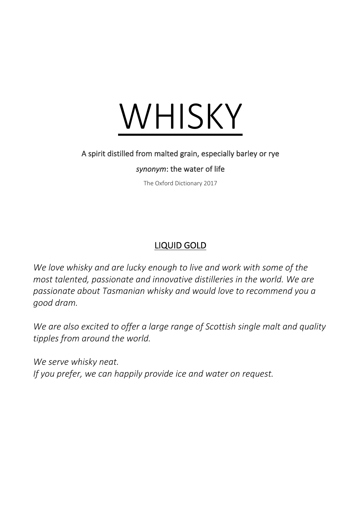

## A spirit distilled from malted grain, especially barley or rye

## *synonym*: the water of life

The Oxford Dictionary 2017

## LIQUID GOLD

*We love whisky and are lucky enough to live and work with some of the most talented, passionate and innovative distilleries in the world. We are passionate about Tasmanian whisky and would love to recommend you a good dram.* 

*We are also excited to offer a large range of Scottish single malt and quality tipples from around the world.*

*We serve whisky neat. If you prefer, we can happily provide ice and water on request.*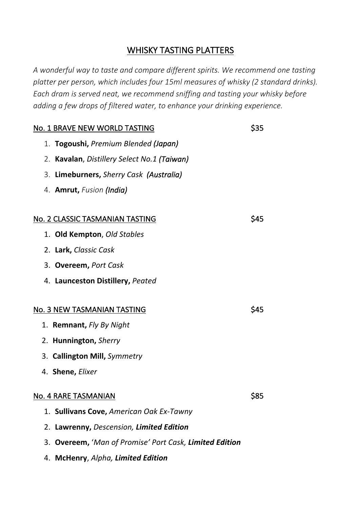## WHISKY TASTING PLATTERS

*A wonderful way to taste and compare different spirits. We recommend one tasting platter per person, which includes four 15ml measures of whisky (2 standard drinks). Each dram is served neat, we recommend sniffing and tasting your whisky before adding a few drops of filtered water, to enhance your drinking experience.*

| No. 1 BRAVE NEW WORLD TASTING                           | \$35       |
|---------------------------------------------------------|------------|
| 1. Togoushi, Premium Blended (Japan)                    |            |
| 2. Kavalan, Distillery Select No.1 (Taiwan)             |            |
| 3. Limeburners, Sherry Cask (Australia)                 |            |
| 4. <b>Amrut,</b> Fusion (India)                         |            |
|                                                         |            |
| No. 2 CLASSIC TASMANIAN TASTING                         | S45        |
| 1. Old Kempton, Old Stables                             |            |
| 2. Lark, Classic Cask                                   |            |
| 3. Overeem, Port Cask                                   |            |
| 4. Launceston Distillery, Peated                        |            |
|                                                         |            |
| No. 3 NEW TASMANIAN TASTING                             | <b>S45</b> |
| 1. Remnant, Fly By Night                                |            |
| 2. Hunnington, Sherry                                   |            |
| 3. Callington Mill, Symmetry                            |            |
| 4. Shene, Elixer                                        |            |
| No. 4 RARE TASMANIAN                                    | \$85       |
| 1. Sullivans Cove, American Oak Ex-Tawny                |            |
| 2. Lawrenny, Descension, Limited Edition                |            |
| 3. Overeem, 'Man of Promise' Port Cask, Limited Edition |            |

4. **McHenry**, *Alpha, Limited Edition*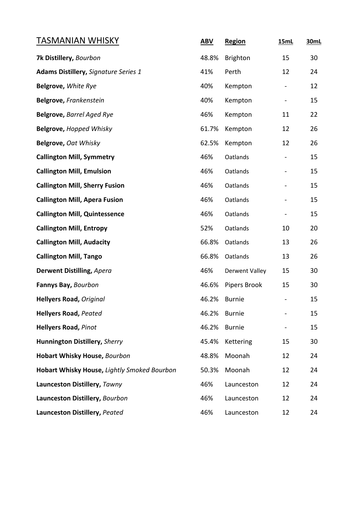| TASMANIAN WHISKY                            | <b>ABV</b> | Region                | <b>15mL</b>    | 30mL |
|---------------------------------------------|------------|-----------------------|----------------|------|
| 7k Distillery, Bourbon                      | 48.8%      | <b>Brighton</b>       | 15             | 30   |
| <b>Adams Distillery, Signature Series 1</b> | 41%        | Perth                 | 12             | 24   |
| Belgrove, White Rye                         | 40%        | Kempton               |                | 12   |
| Belgrove, Frankenstein                      | 40%        | Kempton               | $\blacksquare$ | 15   |
| <b>Belgrove, Barrel Aged Rye</b>            | 46%        | Kempton               | 11             | 22   |
| Belgrove, Hopped Whisky                     | 61.7%      | Kempton               | 12             | 26   |
| Belgrove, Oat Whisky                        | 62.5%      | Kempton               | 12             | 26   |
| <b>Callington Mill, Symmetry</b>            | 46%        | Oatlands              |                | 15   |
| <b>Callington Mill, Emulsion</b>            | 46%        | Oatlands              |                | 15   |
| <b>Callington Mill, Sherry Fusion</b>       | 46%        | Oatlands              |                | 15   |
| <b>Callington Mill, Apera Fusion</b>        | 46%        | Oatlands              |                | 15   |
| <b>Callington Mill, Quintessence</b>        | 46%        | Oatlands              |                | 15   |
| <b>Callington Mill, Entropy</b>             | 52%        | Oatlands              | 10             | 20   |
| <b>Callington Mill, Audacity</b>            | 66.8%      | Oatlands              | 13             | 26   |
| <b>Callington Mill, Tango</b>               | 66.8%      | Oatlands              | 13             | 26   |
| Derwent Distilling, Apera                   | 46%        | <b>Derwent Valley</b> | 15             | 30   |
| Fannys Bay, Bourbon                         | 46.6%      | Pipers Brook          | 15             | 30   |
| <b>Hellyers Road, Original</b>              | 46.2%      | <b>Burnie</b>         |                | 15   |
| <b>Hellyers Road, Peated</b>                | 46.2%      | <b>Burnie</b>         |                | 15   |
| <b>Hellyers Road, Pinot</b>                 | 46.2%      | <b>Burnie</b>         |                | 15   |
| Hunnington Distillery, Sherry               | 45.4%      | Kettering             | 15             | 30   |
| <b>Hobart Whisky House, Bourbon</b>         | 48.8%      | Moonah                | 12             | 24   |
| Hobart Whisky House, Lightly Smoked Bourbon | 50.3%      | Moonah                | 12             | 24   |
| Launceston Distillery, Tawny                | 46%        | Launceston            | 12             | 24   |
| Launceston Distillery, Bourbon              | 46%        | Launceston            | 12             | 24   |
| Launceston Distillery, Peated               | 46%        | Launceston            | 12             | 24   |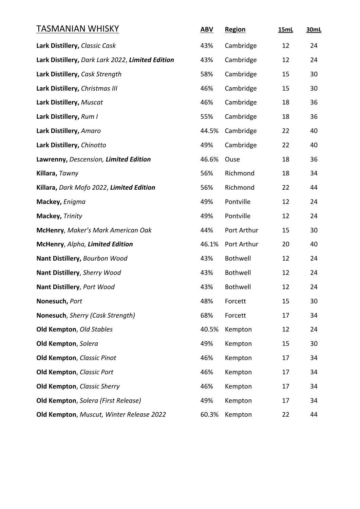| <u>TASMANIAN WHISKY</u>                          | <b>ABV</b> | Region      | 15mL | 30mL |
|--------------------------------------------------|------------|-------------|------|------|
| Lark Distillery, Classic Cask                    | 43%        | Cambridge   | 12   | 24   |
| Lark Distillery, Dark Lark 2022, Limited Edition | 43%        | Cambridge   | 12   | 24   |
| Lark Distillery, Cask Strength                   | 58%        | Cambridge   | 15   | 30   |
| Lark Distillery, Christmas III                   | 46%        | Cambridge   | 15   | 30   |
| Lark Distillery, Muscat                          | 46%        | Cambridge   | 18   | 36   |
| Lark Distillery, Rum I                           | 55%        | Cambridge   | 18   | 36   |
| Lark Distillery, Amaro                           | 44.5%      | Cambridge   | 22   | 40   |
| Lark Distillery, Chinotto                        | 49%        | Cambridge   | 22   | 40   |
| Lawrenny, Descension, Limited Edition            | 46.6%      | Ouse        | 18   | 36   |
| Killara, Tawny                                   | 56%        | Richmond    | 18   | 34   |
| Killara, Dark Mofo 2022, Limited Edition         | 56%        | Richmond    | 22   | 44   |
| Mackey, Enigma                                   | 49%        | Pontville   | 12   | 24   |
| Mackey, Trinity                                  | 49%        | Pontville   | 12   | 24   |
| McHenry, Maker's Mark American Oak               | 44%        | Port Arthur | 15   | 30   |
| McHenry, Alpha, Limited Edition                  | 46.1%      | Port Arthur | 20   | 40   |
| Nant Distillery, Bourbon Wood                    | 43%        | Bothwell    | 12   | 24   |
| Nant Distillery, Sherry Wood                     | 43%        | Bothwell    | 12   | 24   |
| Nant Distillery, Port Wood                       | 43%        | Bothwell    | 12   | 24   |
| Nonesuch, Port                                   | 48%        | Forcett     | 15   | 30   |
| Nonesuch, Sherry (Cask Strength)                 | 68%        | Forcett     | 17   | 34   |
| Old Kempton, Old Stables                         | 40.5%      | Kempton     | 12   | 24   |
| Old Kempton, Solera                              | 49%        | Kempton     | 15   | 30   |
| Old Kempton, Classic Pinot                       | 46%        | Kempton     | 17   | 34   |
| <b>Old Kempton, Classic Port</b>                 | 46%        | Kempton     | 17   | 34   |
| <b>Old Kempton, Classic Sherry</b>               | 46%        | Kempton     | 17   | 34   |
| Old Kempton, Solera (First Release)              | 49%        | Kempton     | 17   | 34   |
| Old Kempton, Muscut, Winter Release 2022         | 60.3%      | Kempton     | 22   | 44   |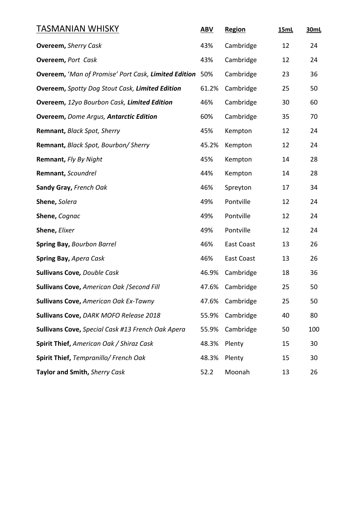| TASMANIAN WHISKY                                                | <b>ABV</b> | Region     | <b>15mL</b> | 30mL |
|-----------------------------------------------------------------|------------|------------|-------------|------|
| <b>Overeem, Sherry Cask</b>                                     | 43%        | Cambridge  | 12          | 24   |
| <b>Overeem, Port Cask</b>                                       | 43%        | Cambridge  | 12          | 24   |
| <b>Overeem, 'Man of Promise' Port Cask, Limited Edition</b> 50% |            | Cambridge  | 23          | 36   |
| <b>Overeem, Spotty Dog Stout Cask, Limited Edition</b>          | 61.2%      | Cambridge  | 25          | 50   |
| Overeem, 12yo Bourbon Cask, Limited Edition                     | 46%        | Cambridge  | 30          | 60   |
| <b>Overeem, Dome Argus, Antarctic Edition</b>                   | 60%        | Cambridge  | 35          | 70   |
| Remnant, Black Spot, Sherry                                     | 45%        | Kempton    | 12          | 24   |
| Remnant, Black Spot, Bourbon/ Sherry                            | 45.2%      | Kempton    | 12          | 24   |
| Remnant, Fly By Night                                           | 45%        | Kempton    | 14          | 28   |
| Remnant, Scoundrel                                              | 44%        | Kempton    | 14          | 28   |
| Sandy Gray, French Oak                                          | 46%        | Spreyton   | 17          | 34   |
| Shene, Solera                                                   | 49%        | Pontville  | 12          | 24   |
| Shene, Cognac                                                   | 49%        | Pontville  | 12          | 24   |
| Shene, Elixer                                                   | 49%        | Pontville  | 12          | 24   |
| <b>Spring Bay, Bourbon Barrel</b>                               | 46%        | East Coast | 13          | 26   |
| Spring Bay, Apera Cask                                          | 46%        | East Coast | 13          | 26   |
| <b>Sullivans Cove, Double Cask</b>                              | 46.9%      | Cambridge  | 18          | 36   |
| Sullivans Cove, American Oak / Second Fill                      | 47.6%      | Cambridge  | 25          | 50   |
| <b>Sullivans Cove, American Oak Ex-Tawny</b>                    | 47.6%      | Cambridge  | 25          | 50   |
| Sullivans Cove, DARK MOFO Release 2018                          | 55.9%      | Cambridge  | 40          | 80   |
| Sullivans Cove, Special Cask #13 French Oak Apera               | 55.9%      | Cambridge  | 50          | 100  |
| Spirit Thief, American Oak / Shiraz Cask                        | 48.3%      | Plenty     | 15          | 30   |
| Spirit Thief, Tempranillo/ French Oak                           | 48.3%      | Plenty     | 15          | 30   |
| Taylor and Smith, Sherry Cask                                   | 52.2       | Moonah     | 13          | 26   |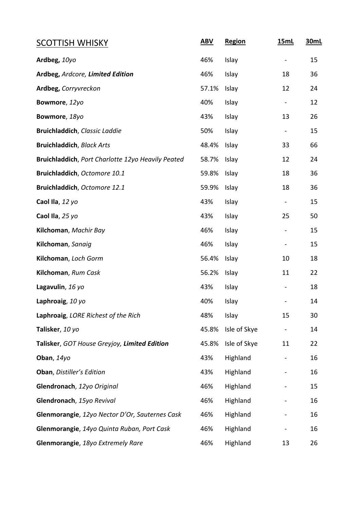| <b>SCOTTISH WHISKY</b>                            | <b>ABV</b> | Region       | <b>15mL</b>                  | 30mL |
|---------------------------------------------------|------------|--------------|------------------------------|------|
| Ardbeg, 10yo                                      | 46%        | Islay        |                              | 15   |
| Ardbeg, Ardcore, Limited Edition                  | 46%        | Islay        | 18                           | 36   |
| Ardbeg, Corryvreckon                              | 57.1%      | Islay        | 12                           | 24   |
| Bowmore, 12yo                                     | 40%        | Islay        | $\overline{\phantom{0}}$     | 12   |
| Bowmore, 18yo                                     | 43%        | Islay        | 13                           | 26   |
| Bruichladdich, Classic Laddie                     | 50%        | Islay        | $\overline{\phantom{0}}$     | 15   |
| <b>Bruichladdich</b> , Black Arts                 | 48.4%      | Islay        | 33                           | 66   |
| Bruichladdich, Port Charlotte 12yo Heavily Peated | 58.7%      | Islay        | 12                           | 24   |
| Bruichladdich, Octomore 10.1                      | 59.8%      | Islay        | 18                           | 36   |
| Bruichladdich, Octomore 12.1                      | 59.9%      | Islay        | 18                           | 36   |
| Caol Ila, 12 yo                                   | 43%        | Islay        | $\qquad \qquad \blacksquare$ | 15   |
| Caol Ila, 25 yo                                   | 43%        | Islay        | 25                           | 50   |
| Kilchoman, Machir Bay                             | 46%        | Islay        | $\qquad \qquad \blacksquare$ | 15   |
| Kilchoman, Sanaig                                 | 46%        | Islay        | $\overline{\phantom{0}}$     | 15   |
| Kilchoman, Loch Gorm                              | 56.4%      | Islay        | 10                           | 18   |
| Kilchoman, Rum Cask                               | 56.2%      | Islay        | 11                           | 22   |
| Lagavulin, 16 yo                                  | 43%        | Islay        | $\blacksquare$               | 18   |
| Laphroaig, 10 yo                                  | 40%        | Islay        |                              | 14   |
| Laphroaig, LORE Richest of the Rich               | 48%        | Islay        | 15                           | 30   |
| Talisker, 10 yo                                   | 45.8%      | Isle of Skye | -                            | 14   |
| Talisker, GOT House Greyjoy, Limited Edition      | 45.8%      | Isle of Skye | 11                           | 22   |
| Oban, 14yo                                        | 43%        | Highland     |                              | 16   |
| Oban, Distiller's Edition                         | 43%        | Highland     | $\qquad \qquad \blacksquare$ | 16   |
| Glendronach, 12yo Original                        | 46%        | Highland     | $\qquad \qquad -$            | 15   |
| Glendronach, 15yo Revival                         | 46%        | Highland     |                              | 16   |
| Glenmorangie, 12yo Nector D'Or, Sauternes Cask    | 46%        | Highland     |                              | 16   |
| Glenmorangie, 14yo Quinta Ruban, Port Cask        | 46%        | Highland     | $\qquad \qquad \blacksquare$ | 16   |
| Glenmorangie, 18yo Extremely Rare                 | 46%        | Highland     | 13                           | 26   |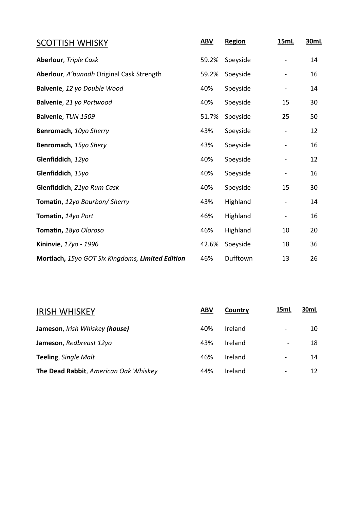| <b>SCOTTISH WHISKY</b>                           | <b>ABV</b> | <b>Region</b> | <b>15mL</b> | 30mL |
|--------------------------------------------------|------------|---------------|-------------|------|
| <b>Aberlour</b> , Triple Cask                    | 59.2%      | Speyside      |             | 14   |
| Aberlour, A'bunadh Original Cask Strength        | 59.2%      | Speyside      |             | 16   |
| Balvenie, 12 yo Double Wood                      | 40%        | Speyside      |             | 14   |
| Balvenie, 21 yo Portwood                         | 40%        | Speyside      | 15          | 30   |
| Balvenie, TUN 1509                               | 51.7%      | Speyside      | 25          | 50   |
| Benromach, 10yo Sherry                           | 43%        | Speyside      |             | 12   |
| Benromach, 15yo Shery                            | 43%        | Speyside      |             | 16   |
| Glenfiddich, 12yo                                | 40%        | Speyside      |             | 12   |
| Glenfiddich, 15yo                                | 40%        | Speyside      |             | 16   |
| Glenfiddich, 21yo Rum Cask                       | 40%        | Speyside      | 15          | 30   |
| <b>Tomatin, 12yo Bourbon/ Sherry</b>             | 43%        | Highland      |             | 14   |
| Tomatin, 14yo Port                               | 46%        | Highland      |             | 16   |
| Tomatin, 18yo Oloroso                            | 46%        | Highland      | 10          | 20   |
| Kininvie, 17yo - 1996                            | 42.6%      | Speyside      | 18          | 36   |
| Mortlach, 15yo GOT Six Kingdoms, Limited Edition | 46%        | Dufftown      | 13          | 26   |

| <b>ABV</b> | Country | 15mL                     | 30mL |
|------------|---------|--------------------------|------|
| 40%        | Ireland |                          | 10   |
| 43%        | Ireland | $\overline{\phantom{a}}$ | 18   |
| 46%        | Ireland | $\overline{\phantom{a}}$ | 14   |
| 44%        | Ireland |                          | 12   |
|            |         |                          |      |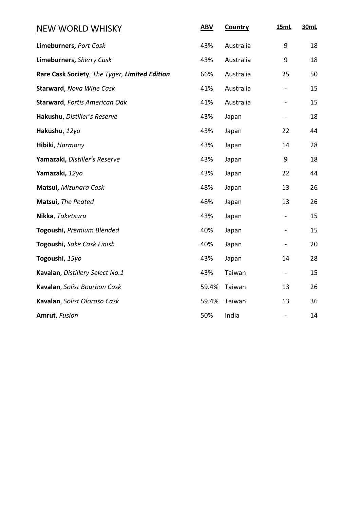| <b>NEW WORLD WHISKY</b>                       | <b>ABV</b> | Country   | <b>15mL</b> | 30mL |
|-----------------------------------------------|------------|-----------|-------------|------|
| Limeburners, Port Cask                        | 43%        | Australia | 9           | 18   |
| Limeburners, Sherry Cask                      | 43%        | Australia | 9           | 18   |
| Rare Cask Society, The Tyger, Limited Edition | 66%        | Australia | 25          | 50   |
| <b>Starward</b> , Nova Wine Cask              | 41%        | Australia |             | 15   |
| <b>Starward, Fortis American Oak</b>          | 41%        | Australia |             | 15   |
| Hakushu, Distiller's Reserve                  | 43%        | Japan     |             | 18   |
| Hakushu, 12yo                                 | 43%        | Japan     | 22          | 44   |
| Hibiki, Harmony                               | 43%        | Japan     | 14          | 28   |
| Yamazaki, Distiller's Reserve                 | 43%        | Japan     | 9           | 18   |
| Yamazaki, 12yo                                | 43%        | Japan     | 22          | 44   |
| Matsui, Mizunara Cask                         | 48%        | Japan     | 13          | 26   |
| Matsui, The Peated                            | 48%        | Japan     | 13          | 26   |
| Nikka, Taketsuru                              | 43%        | Japan     |             | 15   |
| Togoushi, Premium Blended                     | 40%        | Japan     |             | 15   |
| Togoushi, Sake Cask Finish                    | 40%        | Japan     |             | 20   |
| Togoushi, 15yo                                | 43%        | Japan     | 14          | 28   |
| Kavalan, Distillery Select No.1               | 43%        | Taiwan    |             | 15   |
| Kavalan, Solist Bourbon Cask                  | 59.4%      | Taiwan    | 13          | 26   |
| Kavalan, Solist Oloroso Cask                  | 59.4%      | Taiwan    | 13          | 36   |
| Amrut, Fusion                                 | 50%        | India     |             | 14   |